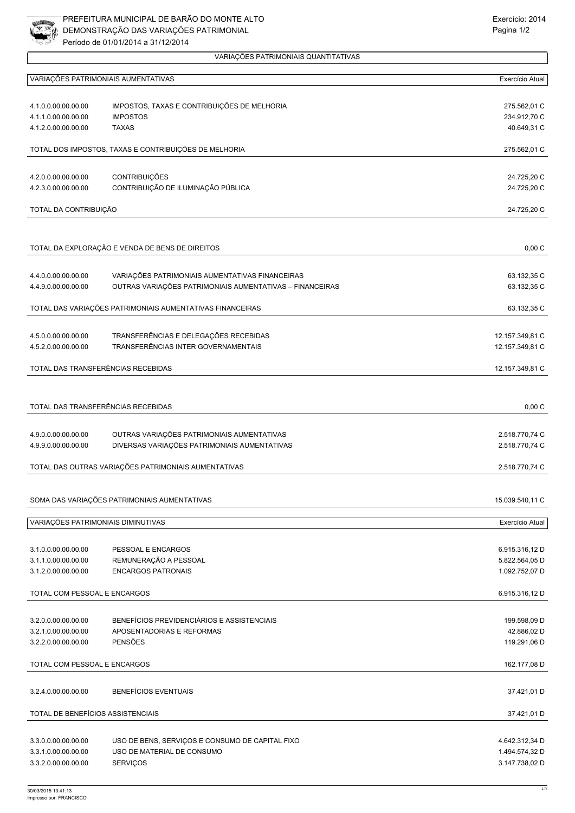

|                                                       | VARIAÇÕES PATRIMONIAIS AUMENTATIVAS                                     | Exercício Atual             |
|-------------------------------------------------------|-------------------------------------------------------------------------|-----------------------------|
| 4.1.0.0.00.00.00.00                                   | IMPOSTOS, TAXAS E CONTRIBUIÇÕES DE MELHORIA                             | 275.562,01 C                |
| 4.1.1.0.00.00.00.00                                   | <b>IMPOSTOS</b>                                                         | 234.912,70 C                |
| 4.1.2.0.00.00.00.00                                   | <b>TAXAS</b>                                                            | 40.649,31 C                 |
| TOTAL DOS IMPOSTOS, TAXAS E CONTRIBUIÇÕES DE MELHORIA |                                                                         | 275.562,01 C                |
|                                                       |                                                                         |                             |
| 4.2.0.0.00.00.00.00<br>4.2.3.0.00.00.00.00            | CONTRIBUIÇÕES<br>CONTRIBUIÇÃO DE ILUMINAÇÃO PÚBLICA                     | 24.725,20 C<br>24.725,20 C  |
|                                                       |                                                                         |                             |
| TOTAL DA CONTRIBUIÇÃO                                 |                                                                         | 24.725,20 C                 |
|                                                       |                                                                         |                             |
|                                                       | TOTAL DA EXPLORAÇÃO E VENDA DE BENS DE DIREITOS                         | 0,00C                       |
| 4.4.0.0.00.00.00.00                                   | VARIAÇÕES PATRIMONIAIS AUMENTATIVAS FINANCEIRAS                         | 63.132,35 C                 |
| 4.4.9.0.00.00.00.00                                   | OUTRAS VARIAÇÕES PATRIMONIAIS AUMENTATIVAS - FINANCEIRAS                | 63.132,35 C                 |
|                                                       | TOTAL DAS VARIAÇÕES PATRIMONIAIS AUMENTATIVAS FINANCEIRAS               | 63.132,35 C                 |
|                                                       |                                                                         |                             |
| 4.5.0.0.00.00.00.00                                   | TRANSFERÊNCIAS E DELEGAÇÕES RECEBIDAS                                   | 12.157.349,81 C             |
| 4.5.2.0.00.00.00.00                                   | TRANSFERÊNCIAS INTER GOVERNAMENTAIS                                     | 12.157.349,81 C             |
|                                                       | TOTAL DAS TRANSFERÊNCIAS RECEBIDAS                                      | 12.157.349,81 C             |
|                                                       |                                                                         |                             |
|                                                       | TOTAL DAS TRANSFERÊNCIAS RECEBIDAS                                      | 0,00C                       |
| 4.9.0.0.00.00.00.00                                   | OUTRAS VARIAÇÕES PATRIMONIAIS AUMENTATIVAS                              | 2.518.770,74 C              |
| 4.9.9.0.00.00.00.00                                   | DIVERSAS VARIAÇÕES PATRIMONIAIS AUMENTATIVAS                            | 2.518.770,74 C              |
|                                                       | TOTAL DAS OUTRAS VARIAÇÕES PATRIMONIAIS AUMENTATIVAS                    |                             |
|                                                       |                                                                         | 2.518.770,74 C              |
|                                                       | SOMA DAS VARIAÇÕES PATRIMONIAIS AUMENTATIVAS                            | 15.039.540,11 C             |
|                                                       |                                                                         |                             |
| VARIAÇÕES PATRIMONIAIS DIMINUTIVAS                    |                                                                         | Exercício Atual             |
| 3.1.0.0.00.00.00.00                                   | PESSOAL E ENCARGOS                                                      | 6.915.316,12 D              |
| 3.1.1.0.00.00.00.00                                   | REMUNERAÇÃO A PESSOAL                                                   | 5.822.564,05 D              |
| 3.1.2.0.00.00.00.00                                   | <b>ENCARGOS PATRONAIS</b>                                               | 1.092.752,07 D              |
| TOTAL COM PESSOAL E ENCARGOS                          |                                                                         | 6.915.316,12 D              |
|                                                       |                                                                         |                             |
| 3.2.0.0.00.00.00.00<br>3.2.1.0.00.00.00.00            | BENEFÍCIOS PREVIDENCIÁRIOS E ASSISTENCIAIS<br>APOSENTADORIAS E REFORMAS | 199.598,09 D<br>42.886,02 D |
| 3.2.2.0.00.00.00.00                                   | <b>PENSÕES</b>                                                          | 119.291,06 D                |
|                                                       |                                                                         |                             |
| TOTAL COM PESSOAL E ENCARGOS                          |                                                                         | 162.177,08 D                |
| 3.2.4.0.00.00.00.00                                   | <b>BENEFÍCIOS EVENTUAIS</b>                                             | 37.421,01 D                 |
| TOTAL DE BENEFÍCIOS ASSISTENCIAIS                     |                                                                         | 37.421,01 D                 |
|                                                       |                                                                         |                             |
| 3.3.0.0.00.00.00.00                                   | USO DE BENS, SERVIÇOS E CONSUMO DE CAPITAL FIXO                         | 4.642.312,34 D              |
| 3.3.1.0.00.00.00.00                                   | USO DE MATERIAL DE CONSUMO                                              | 1.494.574,32 D              |
| 3.3.2.0.00.00.00.00                                   | SERVIÇOS                                                                | 3.147.738,02 D              |

VARIAÇÕES PATRIMONIAIS QUANTITATIVAS